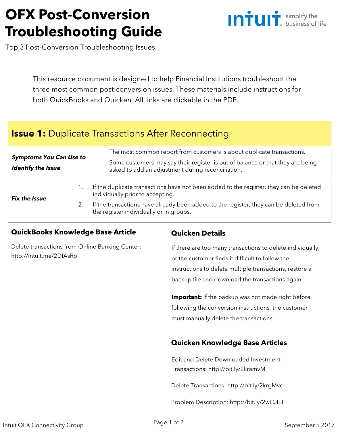# **OFX Post-Conversion Troubleshooting Guide**



Top 3 Post-Conversion Troubleshooting Issues

This resource document is designed to help Financial Institutions troubleshoot the three most common post-conversion issues. These materials include instructions for both QuickBooks and Quicken. All links are clickable in the PDF.

# **Issue 1:** Duplicate Transactions After Reconnecting

| <b>Symptoms You Can Use to</b><br><b>Identify the Issue</b> | The most common report from customers is about duplicate transactions.<br>Some customers may say their register is out of balance or that they are being<br>asked to add an adjustment during reconciliation. |
|-------------------------------------------------------------|---------------------------------------------------------------------------------------------------------------------------------------------------------------------------------------------------------------|
| <b>Fix the Issue</b>                                        | If the duplicate transactions have not been added to the register, they can be deleted<br>individually prior to accepting.                                                                                    |
|                                                             | If the transactions have already been added to the register, they can be deleted from<br>the register individually or in groups.                                                                              |

#### **QuickBooks Knowledge Base Article**

[Delete transactions from Online Banking Center:](http://intuit.me/2DIAsRp)  http://intuit.me/2DIAsRp

## **Quicken Details**

If there are too many transactions to delete individually, or the customer finds it difficult to follow the instructions to delete multiple transactions, restore a backup file and download the transactions again.

**Important:** If the backup was not made right before following the conversion instructions, the customer must manually delete the transactions.

## **Quicken Knowledge Base Articles**

[Edit and Delete Downloaded Investment](http://bit.ly/2kramvM)  Transactions: http://bit.ly/2kramvM

[Delete Transactions: http://bit.ly/2krgMvc](http://bit.ly/2krgMvc)

[Problem Description: http://bit.ly/2wCJIEF](http://bit.ly/2wCJIEF)